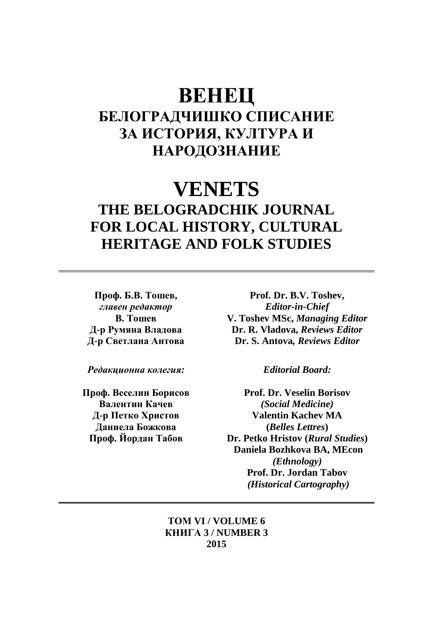# **ВЕНЕЦ БЕЛОГРАДЧИШКО СПИСАНИЕ ЗА ИСТОРИЯ, КУЛТУРА И НАРОДОЗНАНИЕ**

# **VENETS THE BELOGRADCHIK JOURNAL FOR LOCAL HISTORY, CULTURAL HERITAGE AND FOLK STUDIES**

**Проф. Б.В. Тошев,**  *главен редактор* **В. Тошев Д-р Румяна Владова Д-р Светлана Антова**

*Редакционна колегия:*

**Проф. Веселин Борисов Валентин Качев Д-р Петко Христов Даниела Божкова Проф. Йордан Табов**

**Prof. Dr. B.V. Toshev,** *Editor-in-Chief* **V. Toshev MSc,** *Managing Editor* **Dr. R. Vladova,** *Reviews Editor* **Dr. S. Antova***, Reviews Editor*

*Editorial Board:*

**Prof. Dr. Veselin Borisov**  *(Social Medicine)* **Valentin Kachev MA (***Belles Lettres***) Dr. Petko Hristov (***Rural Studies***) Daniela Bozhkova BA, MEcon**  *(Ethnology)* **Prof. Dr. Jordan Tabov** *(Historical Cartography)*

**ТОМ VI / VOLUME 6 КНИГА 3 / NUMBER 3 2015**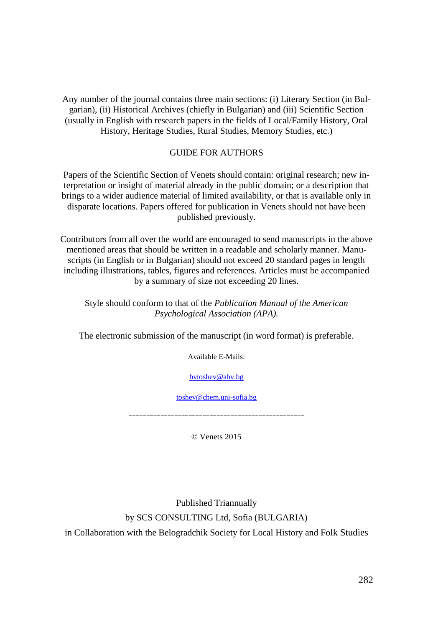Any number of the journal contains three main sections: (i) Literary Section (in Bulgarian), (ii) Historical Archives (chiefly in Bulgarian) and (iii) Scientific Section (usually in English with research papers in the fields of Local/Family History, Oral History, Heritage Studies, Rural Studies, Memory Studies, etc.)

#### GUIDE FOR AUTHORS

Papers of the Scientific Section of Venets should contain: original research; new interpretation or insight of material already in the public domain; or a description that brings to a wider audience material of limited availability, or that is available only in disparate locations. Papers offered for publication in Venets should not have been published previously.

Contributors from all over the world are encouraged to send manuscripts in the above mentioned areas that should be written in a readable and scholarly manner. Manuscripts (in English or in Bulgarian) should not exceed 20 standard pages in length including illustrations, tables, figures and references. Articles must be accompanied by a summary of size not exceeding 20 lines.

Style should conform to that of the *Publication Manual of the American Psychological Association (APA).*

The electronic submission of the manuscript (in word format) is preferable.

Available E-Mails:

[bvtoshev@abv.bg](mailto:bvtoshev@abv.bg)

[toshev@chem.uni-sofia.bg](mailto:toshev@chem.uni-sofia.bg)

==================================================

© Venets 2015

Published Triannually by SCS CONSULTING Ltd, Sofia (BULGARIA) in Collaboration with the Belogradchik Society for Local History and Folk Studies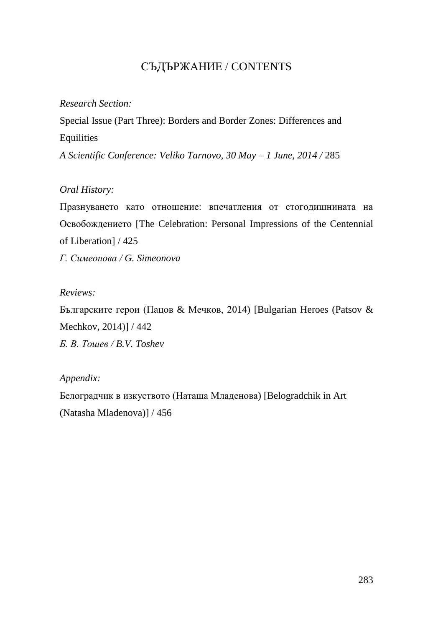### СЪДЪРЖАНИЕ / CONTENTS

### *Research Section:*

Special Issue (Part Three): Borders and Border Zones: Differences and Equilities

*A Scientific Conference: Veliko Tarnovo, 30 May – 1 June, 2014 /* 285

### *Oral History:*

Празнуването като отношение: впечатления от стогодишнината на Освобождението [The Celebration: Personal Impressions of the Centennial of Liberation] / 425

*Г. Симеонова / G. Simeonova*

### *Reviews:*

Българските герои (Пацов & Мечков, 2014) [Bulgarian Heroes (Patsov & Mechkov, 2014)] / 442 *Б. В. Тошев / B.V. Toshev*

### *Appendix:*

Белоградчик в изкуството (Наташа Младенова) [Belogradchik in Art (Natasha Mladenova)] / 456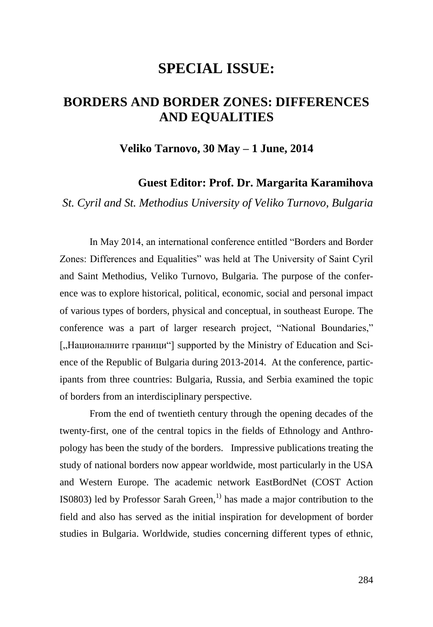## **SPECIAL ISSUE:**

## **BORDERS AND BORDER ZONES: DIFFERENCES AND EQUALITIES**

### **Veliko Tarnovo, 30 May – 1 June, 2014**

### **Guest Editor: Prof. Dr. Margarita Karamihova**

*St. Cyril and St. Methodius University of Veliko Turnovo, Bulgaria*

In May 2014, an international conference entitled "Borders and Border Zones: Differences and Equalities" was held at The University of Saint Cyril and Saint Methodius, Veliko Turnovo, Bulgaria. The purpose of the conference was to explore historical, political, economic, social and personal impact of various types of borders, physical and conceptual, in southeast Europe. The conference was a part of larger research project, "National Boundaries," ["Националните граници"] supported by the Ministry of Education and Science of the Republic of Bulgaria during 2013-2014. At the conference, participants from three countries: Bulgaria, Russia, and Serbia examined the topic of borders from an interdisciplinary perspective.

From the end of twentieth century through the opening decades of the twenty-first, one of the central topics in the fields of Ethnology and Anthropology has been the study of the borders. Impressive publications treating the study of national borders now appear worldwide, most particularly in the USA and Western Europe. The academic network EastBordNet (COST Action IS0803) led by Professor Sarah Green,<sup>1)</sup> has made a major contribution to the field and also has served as the initial inspiration for development of border studies in Bulgaria. Worldwide, studies concerning different types of ethnic,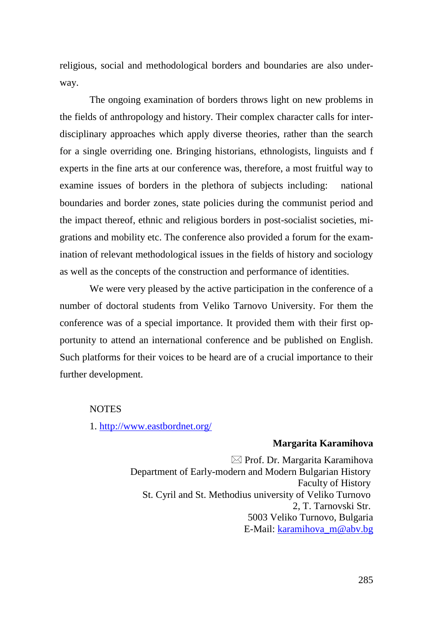religious, social and methodological borders and boundaries are also underway.

The ongoing examination of borders throws light on new problems in the fields of anthropology and history. Their complex character calls for interdisciplinary approaches which apply diverse theories, rather than the search for a single overriding one. Bringing historians, ethnologists, linguists and f experts in the fine arts at our conference was, therefore, a most fruitful way to examine issues of borders in the plethora of subjects including: national boundaries and border zones, state policies during the communist period and the impact thereof, ethnic and religious borders in post-socialist societies, migrations and mobility etc. The conference also provided a forum for the examination of relevant methodological issues in the fields of history and sociology as well as the concepts of the construction and performance of identities.

We were very pleased by the active participation in the conference of a number of doctoral students from Veliko Tarnovo University. For them the conference was of a special importance. It provided them with their first opportunity to attend an international conference and be published on English. Such platforms for their voices to be heard are of a crucial importance to their further development.

### NOTES

1.<http://www.eastbordnet.org/>

#### **Margarita Karamihova**

 $\boxtimes$  Prof. Dr. Margarita Karamihova Department of Early-modern and Modern Bulgarian History Faculty of History St. Cyril and St. Methodius university of Veliko Turnovo 2, T. Tarnovski Str. 5003 Veliko Turnovo, Bulgaria E-Mail: [karamihova\\_m@abv.bg](mailto:karamihova_m@abv.bg)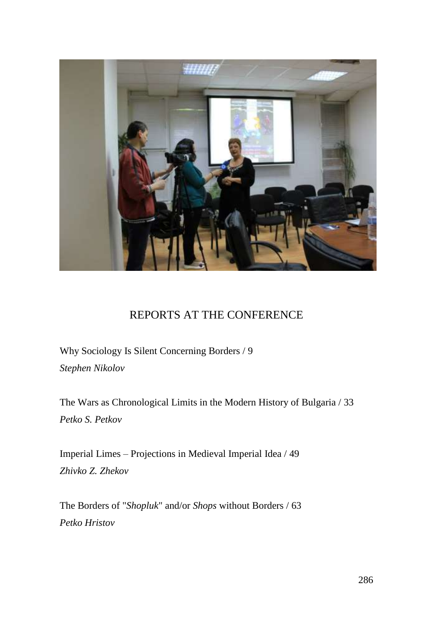

### REPORTS AT THE CONFERENCE

Why Sociology Is Silent Concerning Borders / 9 *Stephen Nikolov*

The Wars as Chronological Limits in the Modern History of Bulgaria / 33 *Petko S. Petkov*

Imperial Limes – Projections in Medieval Imperial Idea / 49 *Zhivko Z. Zhekov*

The Borders of "*Shopluk*" and/or *Shops* without Borders / 63 *Petko Hristov*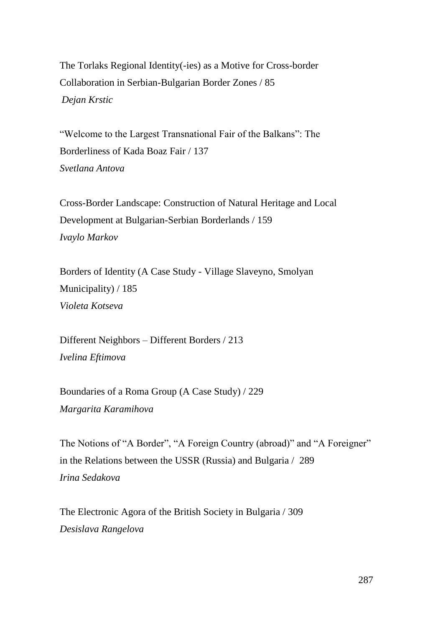The Torlaks Regional Identity(-ies) as a Motive for Cross-border Collaboration in Serbian-Bulgarian Border Zones / 85 *Dejan Krstic*

"Welcome to the Largest Transnational Fair of the Balkans": The Borderliness of Kada Boaz Fair / 137 *Svetlana Antova*

Cross-Border Landscape: Construction of Natural Heritage and Local Development at Bulgarian-Serbian Borderlands / 159 *Ivaylo Markov*

Borders of Identity (A Case Study - Village Slaveyno, Smolyan Municipality) / 185 *Violeta Kotseva*

Different Neighbors – Different Borders / 213 *Ivelina Eftimova*

Boundaries of a Roma Group (A Case Study) / 229 *Margarita Karamihova*

The Notions of "A Border", "A Foreign Country (abroad)" and "A Foreigner" in the Relations between the USSR (Russia) and Bulgaria / 289 *Irina Sedakova*

The Electronic Agora of the British Society in Bulgaria / 309 *Desislava Rangelova*